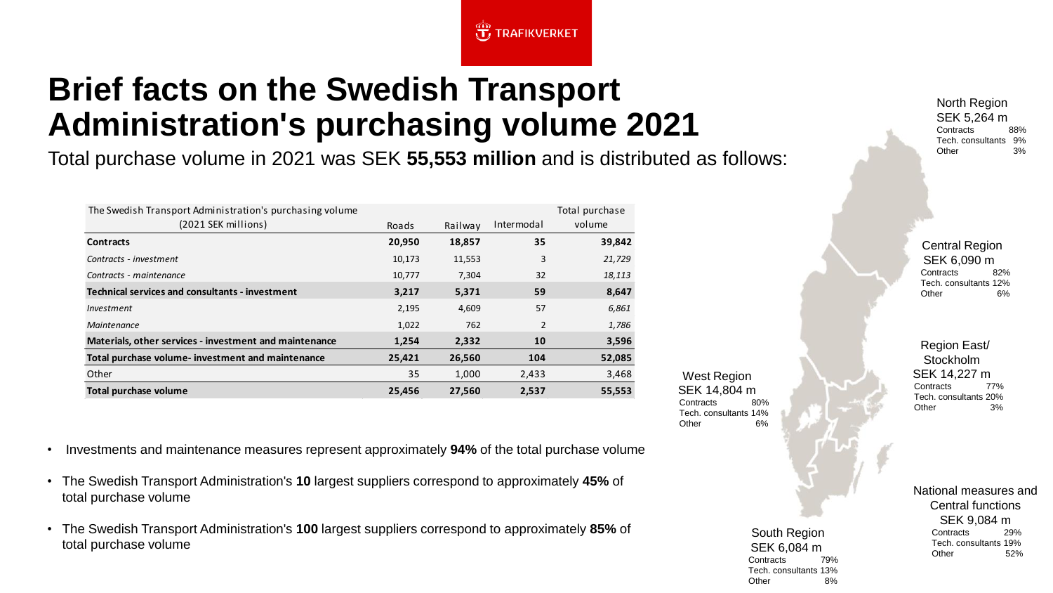## **Brief facts on the Swedish Transport Administration's purchasing volume 2021**

Total purchase volume in 2021 was SEK **55,553 million** and is distributed as follows:

 $\overline{\mathbf{t}}$  TRAFIKVERKET

| The Swedish Transport Administration's purchasing volume |        |         |            | Total purchase |
|----------------------------------------------------------|--------|---------|------------|----------------|
| (2021 SEK millions)                                      | Roads  | Railway | Intermodal | volume         |
| <b>Contracts</b>                                         | 20,950 | 18,857  | 35         | 39,842         |
| Contracts - investment                                   | 10,173 | 11,553  | 3          | 21,729         |
| Contracts - maintenance                                  | 10,777 | 7,304   | 32         | 18,113         |
| Technical services and consultants - investment          | 3,217  | 5,371   | 59         | 8,647          |
| Investment                                               | 2,195  | 4,609   | 57         | 6,861          |
| Maintenance                                              | 1,022  | 762     | 2          | 1,786          |
| Materials, other services - investment and maintenance   | 1,254  | 2,332   | 10         | 3,596          |
| Total purchase volume- investment and maintenance        | 25,421 | 26,560  | 104        | 52,085         |
| Other                                                    | 35     | 1,000   | 2,433      | 3,468          |
| Total purchase volume                                    | 25,456 | 27,560  | 2,537      | 55,553         |

West Region SEK 14,804 m Contracts 80% Tech. consultants 14% Other 6%

North Region SEK 5,264 m Contracts 88% Tech. consultants 9% Other 3%

Central Region SEK 6,090 m Contracts 82% Tech. consultants 12% Other 6%

Region East/ **Stockholm** SEK 14,227 m Contracts 77% Tech. consultants 20% Other 3%

National measures and Central functions SEK 9,084 m Contracts 29% Tech. consultants 19% Other 52%

- Investments and maintenance measures represent approximately **94%** of the total purchase volume
- The Swedish Transport Administration's **10** largest suppliers correspond to approximately **45%** of total purchase volume
- The Swedish Transport Administration's **100** largest suppliers correspond to approximately **85%** of total purchase volume

South Region SEK 6,084 m Contracts 79% Tech. consultants 13% Other 8%